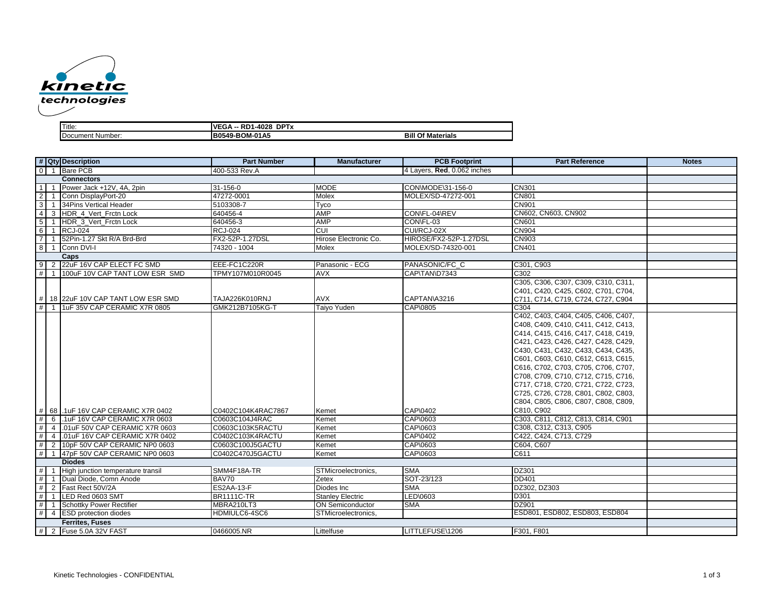

| Title:           | nn<br><b>DPTx</b><br><b>VEGA</b><br>.-4028<br>ົີ∆ -- ∶<br>nυ |                             |
|------------------|--------------------------------------------------------------|-----------------------------|
| Document Number: | B0549-BOM-01A5                                               | <b>Of Materials</b><br>Bill |

| # Qty Description                                         | <b>Part Number</b> | Manufacturer            | <b>PCB Footprint</b>        | <b>Part Reference</b>               | <b>Notes</b> |
|-----------------------------------------------------------|--------------------|-------------------------|-----------------------------|-------------------------------------|--------------|
| 0 1 Bare PCB                                              | 400-533 Rev.A      |                         | 4 Layers, Red, 0.062 inches |                                     |              |
| <b>Connectors</b>                                         |                    |                         |                             |                                     |              |
| 111<br>Power Jack +12V, 4A, 2pin                          | 31-156-0           | <b>MODE</b>             | CON\MODE\31-156-0           | <b>CN301</b>                        |              |
| $2 \mid 1$<br>Conn DisplayPort-20                         | 47272-0001         | Molex                   | MOLEX/SD-47272-001          | <b>CN801</b>                        |              |
| $3 \mid 1$<br>34Pins Vertical Header                      | 5103308-7          | Tyco                    |                             | CN901                               |              |
| $\vert 4 \vert$<br>HDR_4_Vert_Frctn Lock<br>3             | 640456-4           | <b>AMP</b>              | CON\FL-04\REV               | CN602, CN603, CN902                 |              |
| 5 <sub>5</sub><br>HDR_3_Vert_Frctn Lock<br>$\overline{1}$ | 640456-3           | AMP                     | CON\FL-03                   | <b>CN601</b>                        |              |
| 6<br><b>RCJ-024</b><br>$\overline{1}$                     | <b>RCJ-024</b>     | CUI                     | CUI/RCJ-02X                 | <b>CN904</b>                        |              |
| 711<br>52Pin-1.27 Skt R/A Brd-Brd                         | FX2-52P-1.27DSL    | Hirose Electronic Co.   | HIROSE/FX2-52P-1.27DSL      | <b>CN903</b>                        |              |
| 8 1<br>Conn DVI-I                                         | 74320 - 1004       | Molex                   | MOLEX/SD-74320-001          | CN401                               |              |
| Caps                                                      |                    |                         |                             |                                     |              |
| 9 2 22uF 16V CAP ELECT FC SMD                             | EEE-FC1C220R       | Panasonic - ECG         | PANASONIC/FC C              | C301, C903                          |              |
| # 1   100uF 10V CAP TANT LOW ESR SMD                      | TPMY107M010R0045   | AVX                     | CAP\TAN\D7343               | C302                                |              |
|                                                           |                    |                         |                             | C305, C306, C307, C309, C310, C311, |              |
|                                                           |                    |                         |                             | C401, C420, C425, C602, C701, C704, |              |
| # 18 22uF 10V CAP TANT LOW ESR SMD                        | TAJA226K010RNJ     | <b>AVX</b>              | CAPTAN\A3216                | C711, C714, C719, C724, C727, C904  |              |
| #<br>1uF 35V CAP CERAMIC X7R 0805<br>$\overline{1}$       | GMK212B7105KG-T    | Taiyo Yuden             | CAP\0805                    | C304                                |              |
|                                                           |                    |                         |                             | C402, C403, C404, C405, C406, C407, |              |
|                                                           |                    |                         |                             | C408, C409, C410, C411, C412, C413, |              |
|                                                           |                    |                         |                             | C414, C415, C416, C417, C418, C419, |              |
|                                                           |                    |                         |                             | C421, C423, C426, C427, C428, C429, |              |
|                                                           |                    |                         |                             | C430, C431, C432, C433, C434, C435, |              |
|                                                           |                    |                         |                             | C601, C603, C610, C612, C613, C615, |              |
|                                                           |                    |                         |                             | C616, C702, C703, C705, C706, C707, |              |
|                                                           |                    |                         |                             | C708, C709, C710, C712, C715, C716, |              |
|                                                           |                    |                         |                             | C717, C718, C720, C721, C722, C723, |              |
|                                                           |                    |                         |                             | C725, C726, C728, C801, C802, C803, |              |
|                                                           |                    |                         |                             |                                     |              |
|                                                           |                    |                         |                             | C804, C805, C806, C807, C808, C809, |              |
| # 68 .1uF 16V CAP CERAMIC X7R 0402                        | C0402C104K4RAC7867 | Kemet                   | CAP\0402                    | C810, C902                          |              |
| #<br>6 .1uF 16V CAP CERAMIC X7R 0603                      | C0603C104J4RAC     | Kemet                   | CAP\0603                    | C303, C811, C812, C813, C814, C901  |              |
| #<br>4 01uF 50V CAP CERAMIC X7R 0603                      | C0603C103K5RACTU   | Kemet                   | CAP\0603                    | C308, C312, C313, C905              |              |
| #<br>.01uF 16V CAP CERAMIC X7R 0402<br>$\overline{4}$     | C0402C103K4RACTU   | Kemet                   | CAP\0402                    | C422, C424, C713, C729              |              |
| #<br>2 10pF 50V CAP CERAMIC NP0 0603                      | C0603C100J5GACTU   | Kemet                   | CAP\0603                    | C604, C607                          |              |
| 47pF 50V CAP CERAMIC NP0 0603<br># 1                      | C0402C470J5GACTU   | Kemet                   | CAP\0603                    | C611                                |              |
| <b>Diodes</b>                                             |                    |                         |                             |                                     |              |
| # 1<br>High junction temperature transil                  | SMM4F18A-TR        | STMicroelectronics,     | <b>SMA</b>                  | DZ301                               |              |
| # 1<br>Dual Diode, Comn Anode                             | BAV70              | Zetex                   | SOT-23/123                  | <b>DD401</b>                        |              |
| #<br>2<br>Fast Rect 50V/2A                                | ES2AA-13-F         | Diodes Inc              | <b>SMA</b>                  | DZ302, DZ303                        |              |
| #<br>LED Red 0603 SMT<br>$\overline{1}$                   | <b>BR1111C-TR</b>  | <b>Stanley Electric</b> | LED\0603                    | D301                                |              |
| #<br><b>Schottky Power Rectifier</b><br>$\overline{1}$    | MBRA210LT3         | <b>ON</b> Semiconductor | <b>SMA</b>                  | DZ901                               |              |
| # 4 ESD protection diodes                                 | HDMIULC6-4SC6      | STMicroelectronics,     |                             | ESD801, ESD802, ESD803, ESD804      |              |
| <b>Ferrites, Fuses</b>                                    |                    |                         |                             |                                     |              |
| # 2 Fuse 5.0A 32V FAST                                    | 0466005.NR         | Littelfuse              | LITTLEFUSE\1206             | F301, F801                          |              |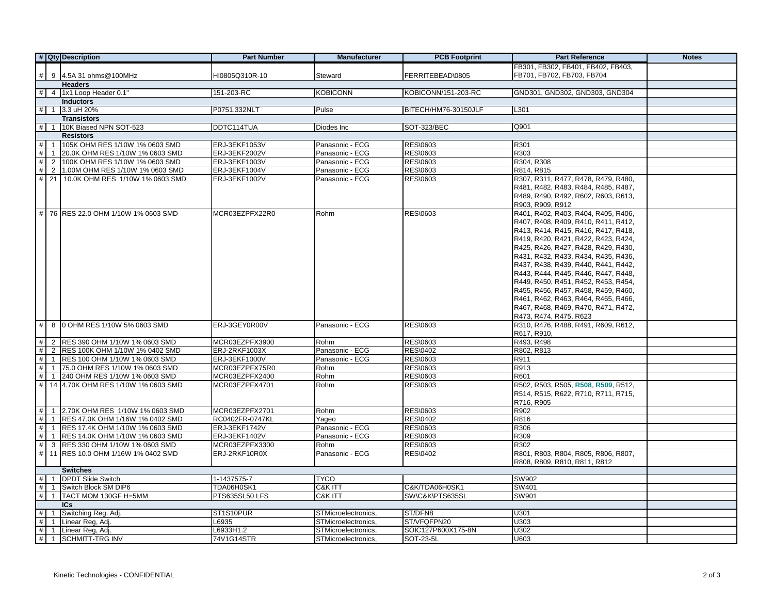|                | # Qty Description                          | <b>Part Number</b> | <b>Manufacturer</b> | <b>PCB Footprint</b> | <b>Part Reference</b>               | <b>Notes</b> |
|----------------|--------------------------------------------|--------------------|---------------------|----------------------|-------------------------------------|--------------|
|                |                                            |                    |                     |                      | FB301, FB302, FB401, FB402, FB403,  |              |
| $\#$           | 9 4.5A 31 ohms@100MHz                      | HI0805Q310R-10     | Steward             | FERRITEBEAD\0805     | FB701, FB702, FB703, FB704          |              |
| <b>Headers</b> |                                            |                    |                     |                      |                                     |              |
|                | $\#$ 4 1x1 Loop Header 0.1                 | 151-203-RC         | <b>KOBICONN</b>     | KOBICONN/151-203-RC  | GND301, GND302, GND303, GND304      |              |
|                | <b>Inductors</b>                           |                    |                     |                      |                                     |              |
| #              | 3.3 uH 20%<br>$\mathbf{1}$                 | P0751.332NLT       | Pulse               | BITECH/HM76-30150JLF | L301                                |              |
|                | <b>Transistors</b>                         |                    |                     |                      |                                     |              |
| #              | 10K Biased NPN SOT-523<br>$\overline{1}$   | DDTC114TUA         | Diodes Inc          | <b>SOT-323/BEC</b>   | Q901                                |              |
|                | <b>Resistors</b>                           |                    |                     |                      |                                     |              |
| #              | 105K OHM RES 1/10W 1% 0603 SMD             | ERJ-3EKF1053V      | Panasonic - ECG     | <b>RES\0603</b>      | R301                                |              |
| #              | 1 20.0K OHM RES 1/10W 1% 0603 SMD          | ERJ-3EKF2002V      | Panasonic - ECG     | RES\0603             | R303                                |              |
| #              | 2 100K OHM RES 1/10W 1% 0603 SMD           | ERJ-3EKF1003V      | Panasonic - ECG     | RES\0603             | R304, R308                          |              |
| $\#$           | 2 1.00M OHM RES 1/10W 1% 0603 SMD          | ERJ-3EKF1004V      | Panasonic - ECG     | RES\0603             | R814, R815                          |              |
| #              | 21 10.0K OHM RES 1/10W 1% 0603 SMD         | ERJ-3EKF1002V      | Panasonic - ECG     | <b>RES\0603</b>      | R307, R311, R477, R478, R479, R480, |              |
|                |                                            |                    |                     |                      | R481, R482, R483, R484, R485, R487, |              |
|                |                                            |                    |                     |                      | R489, R490, R492, R602, R603, R613, |              |
|                |                                            |                    |                     |                      | R903, R909, R912                    |              |
| #              | 76 RES 22.0 OHM 1/10W 1% 0603 SMD          | MCR03EZPFX22R0     | Rohm                | RES\0603             | R401, R402, R403, R404, R405, R406, |              |
|                |                                            |                    |                     |                      | R407, R408, R409, R410, R411, R412, |              |
|                |                                            |                    |                     |                      | R413, R414, R415, R416, R417, R418, |              |
|                |                                            |                    |                     |                      | R419, R420, R421, R422, R423, R424, |              |
|                |                                            |                    |                     |                      | R425, R426, R427, R428, R429, R430, |              |
|                |                                            |                    |                     |                      | R431, R432, R433, R434, R435, R436, |              |
|                |                                            |                    |                     |                      | R437, R438, R439, R440, R441, R442, |              |
|                |                                            |                    |                     |                      | R443, R444, R445, R446, R447, R448, |              |
|                |                                            |                    |                     |                      | R449, R450, R451, R452, R453, R454, |              |
|                |                                            |                    |                     |                      | R455, R456, R457, R458, R459, R460, |              |
|                |                                            |                    |                     |                      | R461, R462, R463, R464, R465, R466, |              |
|                |                                            |                    |                     |                      | R467, R468, R469, R470, R471, R472, |              |
|                |                                            |                    |                     |                      | R473, R474, R475, R623              |              |
| #              | 8 0 OHM RES 1/10W 5% 0603 SMD              | ERJ-3GEY0R00V      | Panasonic - ECG     | <b>RES\0603</b>      | R310, R476, R488, R491, R609, R612, |              |
|                |                                            |                    |                     |                      | R617, R910,                         |              |
| #              | 2 RES 390 OHM 1/10W 1% 0603 SMD            | MCR03EZPFX3900     | Rohm                | RES\0603             | R493, R498                          |              |
| $\#$           | 2 RES 100K OHM 1/10W 1% 0402 SMD           | ERJ-2RKF1003X      | Panasonic - ECG     | <b>RES\0402</b>      | R802, R813                          |              |
| #              | 1  RES 100 OHM 1/10W 1% 0603 SMD           | ERJ-3EKF1000V      | Panasonic - ECG     | RES\0603             | R911                                |              |
| $\#$           | 1 75.0 OHM RES 1/10W 1% 0603 SMD           | MCR03EZPFX75R0     | Rohm                | RES\0603             | R913                                |              |
| #              | 1 240 OHM RES 1/10W 1% 0603 SMD            | MCR03EZPFX2400     | Rohm                | <b>RES\0603</b>      | R601                                |              |
| #              | 14 4.70K OHM RES 1/10W 1% 0603 SMD         | MCR03EZPFX4701     | Rohm                | RES\0603             | R502, R503, R505, R508, R509, R512, |              |
|                |                                            |                    |                     |                      | R514, R515, R622, R710, R711, R715, |              |
|                |                                            |                    |                     |                      | R716, R905                          |              |
| #              | 1 2.70K OHM RES 1/10W 1% 0603 SMD          | MCR03EZPFX2701     | Rohm                | RES\0603             | R902                                |              |
| #              | 1 RES 47.0K OHM 1/16W 1% 0402 SMD          | RC0402FR-0747KL    | Yaqeo               | <b>RES\0402</b>      | R816                                |              |
| #              | RES 17.4K OHM 1/10W 1% 0603 SMD            | ERJ-3EKF1742V      | Panasonic - ECG     | RES\0603             | R306                                |              |
| #              | 1 RES 14.0K OHM 1/10W 1% 0603 SMD          | ERJ-3EKF1402V      | Panasonic - ECG     | <b>RES\0603</b>      | R309                                |              |
| $\#$           | 3 RES 330 OHM 1/10W 1% 0603 SMD            | MCR03EZPFX3300     | Rohm                | <b>RES\0603</b>      | R302                                |              |
| #              | 11 RES 10.0 OHM 1/16W 1% 0402 SMD          | ERJ-2RKF10R0X      | Panasonic - ECG     | <b>RES\0402</b>      | R801, R803, R804, R805, R806, R807, |              |
|                |                                            |                    |                     |                      | R808, R809, R810, R811, R812        |              |
|                | <b>Switches</b>                            |                    |                     |                      |                                     |              |
| #              | <b>DPDT Slide Switch</b><br>$\overline{1}$ | 1-1437575-7        | TYCO                |                      | SW902                               |              |
| #              | Switch Block SM DIP6                       | TDA06H0SK1         | C&K ITT             | C&K/TDA06H0SK1       | SW401                               |              |
| #              | TACT MOM 130GF H=5MM                       | PTS635SL50 LFS     | C&K ITT             | SW\C&K\PTS635SL      | SW901                               |              |
|                | ICs                                        |                    |                     |                      |                                     |              |
| #              | Switching Reg. Adj.                        | ST1S10PUR          | STMicroelectronics, | ST/DFN8              | U301                                |              |
| #              | Linear Reg, Adj.<br>1                      | L6935              | STMicroelectronics, | ST/VFQFPN20          | U303                                |              |
| #              | Linear Reg, Adj.<br>$\mathbf{1}$           | L6933H1.2          | STMicroelectronics, | SOIC127P600X175-8N   | U302                                |              |
| #              | <b>SCHMITT-TRG INV</b>                     | 74V1G14STR         | STMicroelectronics, | SOT-23-5L            | U603                                |              |